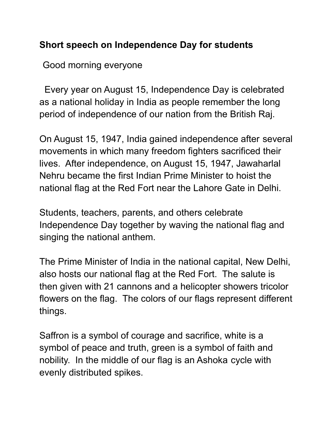## **Short speech on Independence Day for students**

Good morning everyone

Every year on August 15, Independence Day is celebrated as a national holiday in India as people remember the long period of independence of our nation from the British Raj.

On August 15, 1947, India gained independence after several movements in which many freedom fighters sacrificed their lives. After independence, on August 15, 1947, Jawaharlal Nehru became the first Indian Prime Minister to hoist the national flag at the Red Fort near the Lahore Gate in Delhi.

Students, teachers, parents, and others celebrate Independence Day together by waving the national flag and singing the national anthem.

The Prime Minister of India in the national capital, New Delhi, also hosts our national flag at the Red Fort. The salute is then given with 21 cannons and a helicopter showers tricolor flowers on the flag. The colors of our flags represent different things.

Saffron is a symbol of courage and sacrifice, white is a symbol of peace and truth, green is a symbol of faith and nobility. In the middle of our flag is an Ashoka cycle with evenly distributed spikes.